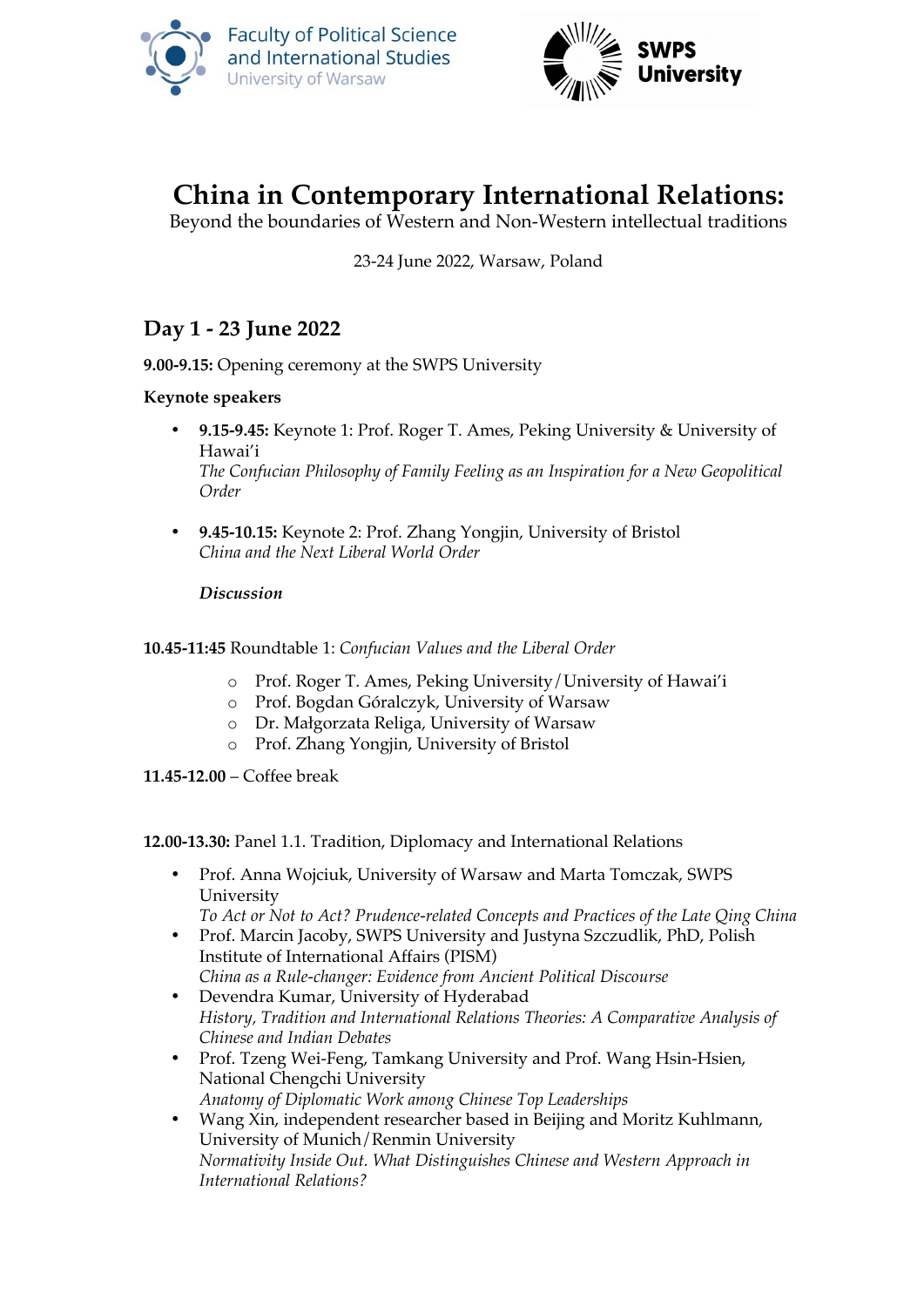



# **China in Contemporary International Relations:**

Beyond the boundaries of Western and Non-Western intellectual traditions

23-24 June 2022, Warsaw, Poland

## **Day 1 - 23 June 2022**

**9.00-9.15:** Opening ceremony at the SWPS University

**Keynote speakers** 

- **9.15-9.45:** Keynote 1: Prof. Roger T. Ames, Peking University & University of Hawai'i *The Confucian Philosophy of Family Feeling as an Inspiration for a New Geopolitical Order*
- **9.45-10.15:** Keynote 2: Prof. Zhang Yongjin, University of Bristol *China and the Next Liberal World Order*

*Discussion*

**10.45-11:45** Roundtable 1: *Confucian Values and the Liberal Order*

- o Prof. Roger T. Ames, Peking University/University of Hawai'i
- o Prof. Bogdan Góralczyk, University of Warsaw
- o Dr. Małgorzata Religa, University of Warsaw
- o Prof. Zhang Yongjin, University of Bristol

**11.45-12.00** – Coffee break

**12.00-13.30:** Panel 1.1. Tradition, Diplomacy and International Relations

 Prof. Anna Wojciuk, University of Warsaw and Marta Tomczak, SWPS University

*To Act or Not to Act? Prudence-related Concepts and Practices of the Late Qing China*

- Prof. Marcin Jacoby, SWPS University and Justyna Szczudlik, PhD, Polish Institute of International Affairs (PISM) *China as a Rule-changer: Evidence from Ancient Political Discourse*
- Devendra Kumar, University of Hyderabad *History, Tradition and International Relations Theories: A Comparative Analysis of Chinese and Indian Debates*
- Prof. Tzeng Wei-Feng, Tamkang University and Prof. Wang Hsin-Hsien, National Chengchi University *Anatomy of Diplomatic Work among Chinese Top Leaderships*
- Wang Xin, independent researcher based in Beijing and Moritz Kuhlmann, University of Munich/Renmin University *Normativity Inside Out. What Distinguishes Chinese and Western Approach in International Relations?*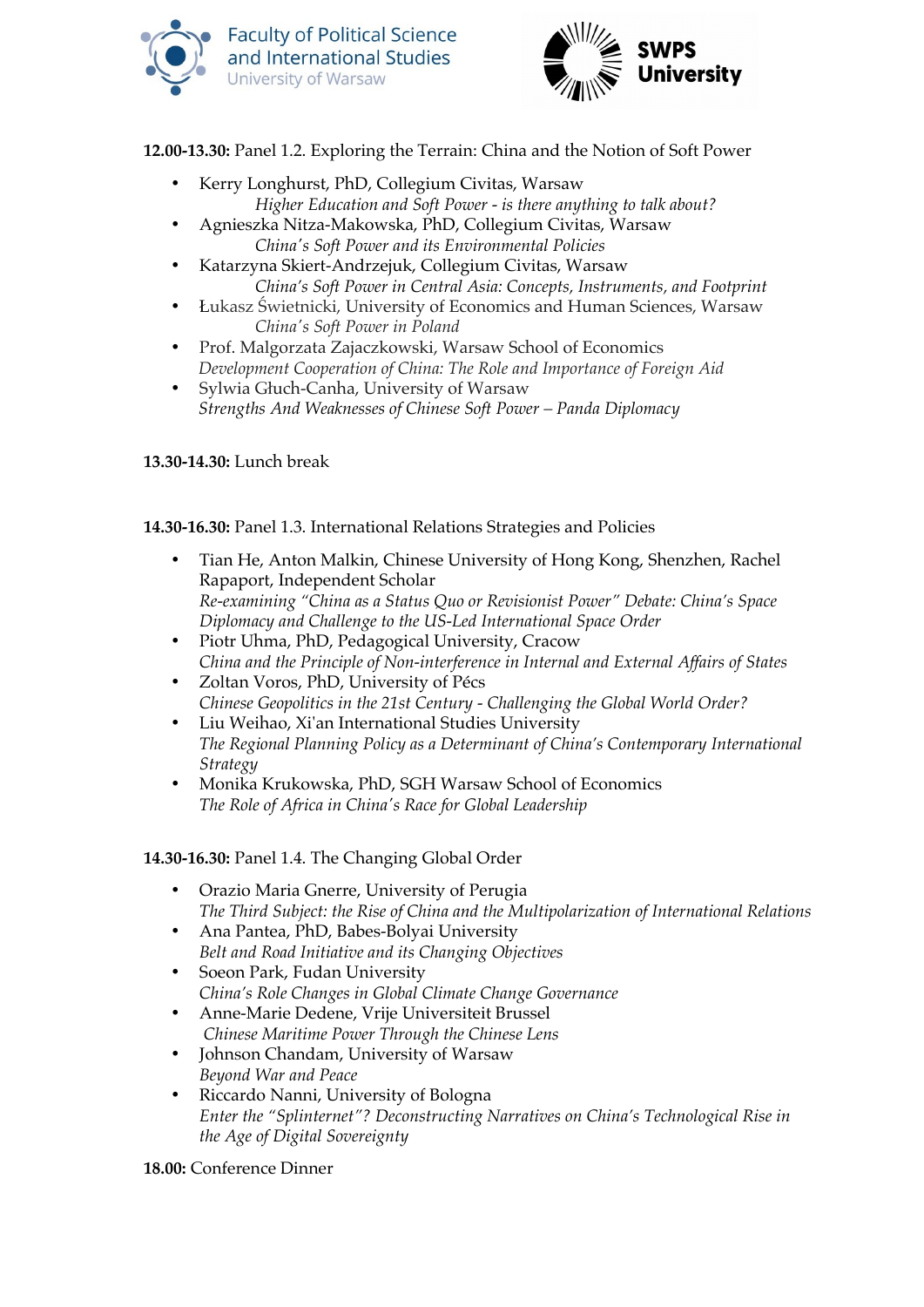



**12.00-13.30:** Panel 1.2. Exploring the Terrain: China and the Notion of Soft Power

- Kerry Longhurst, PhD, Collegium Civitas, Warsaw *Higher Education and Soft Power - is there anything to talk about?*
- Agnieszka Nitza-Makowska, PhD, Collegium Civitas, Warsaw *China's Soft Power and its Environmental Policies*
- Katarzyna Skiert-Andrzejuk, Collegium Civitas, Warsaw *China's Soft Power in Central Asia: Concepts, Instruments, and Footprint*
- Łukasz Świetnicki, University of Economics and Human Sciences, Warsaw *China's Soft Power in Poland*
- Prof. Malgorzata Zajaczkowski, Warsaw School of Economics *Development Cooperation of China: The Role and Importance of Foreign Aid*
- Sylwia Głuch-Canha, University of Warsaw *Strengths And Weaknesses of Chinese Soft Power – Panda Diplomacy*

**13.30-14.30:** Lunch break

**14.30-16.30:** Panel 1.3. International Relations Strategies and Policies

- Tian He, Anton Malkin, Chinese University of Hong Kong, Shenzhen, Rachel Rapaport, Independent Scholar *Re-examining "China as a Status Quo or Revisionist Power" Debate: China's Space Diplomacy and Challenge to the US-Led International Space Order*
- Piotr Uhma, PhD, Pedagogical University, Cracow *China and the Principle of Non-interference in Internal and External Affairs of States*
- Zoltan Voros, PhD, University of Pécs *Chinese Geopolitics in the 21st Century - Challenging the Global World Order?*
- Liu Weihao, Xi'an International Studies University *The Regional Planning Policy as a Determinant of China's Contemporary International Strategy*
- Monika Krukowska, PhD, SGH Warsaw School of Economics *The Role of Africa in China's Race for Global Leadership*

**14.30-16.30:** Panel 1.4. The Changing Global Order

- Orazio Maria Gnerre, University of Perugia *The Third Subject: the Rise of China and the Multipolarization of International Relations*
- Ana Pantea, PhD, Babes-Bolyai University *Belt and Road Initiative and its Changing Objectives*
- Soeon Park, Fudan University *China's Role Changes in Global Climate Change Governance*
- Anne-Marie Dedene, Vrije Universiteit Brussel *Chinese Maritime Power Through the Chinese Lens*
- Johnson Chandam, University of Warsaw *Beyond War and Peace*
- Riccardo Nanni, University of Bologna *Enter the "Splinternet"? Deconstructing Narratives on China's Technological Rise in the Age of Digital Sovereignty*

**18.00:** Conference Dinner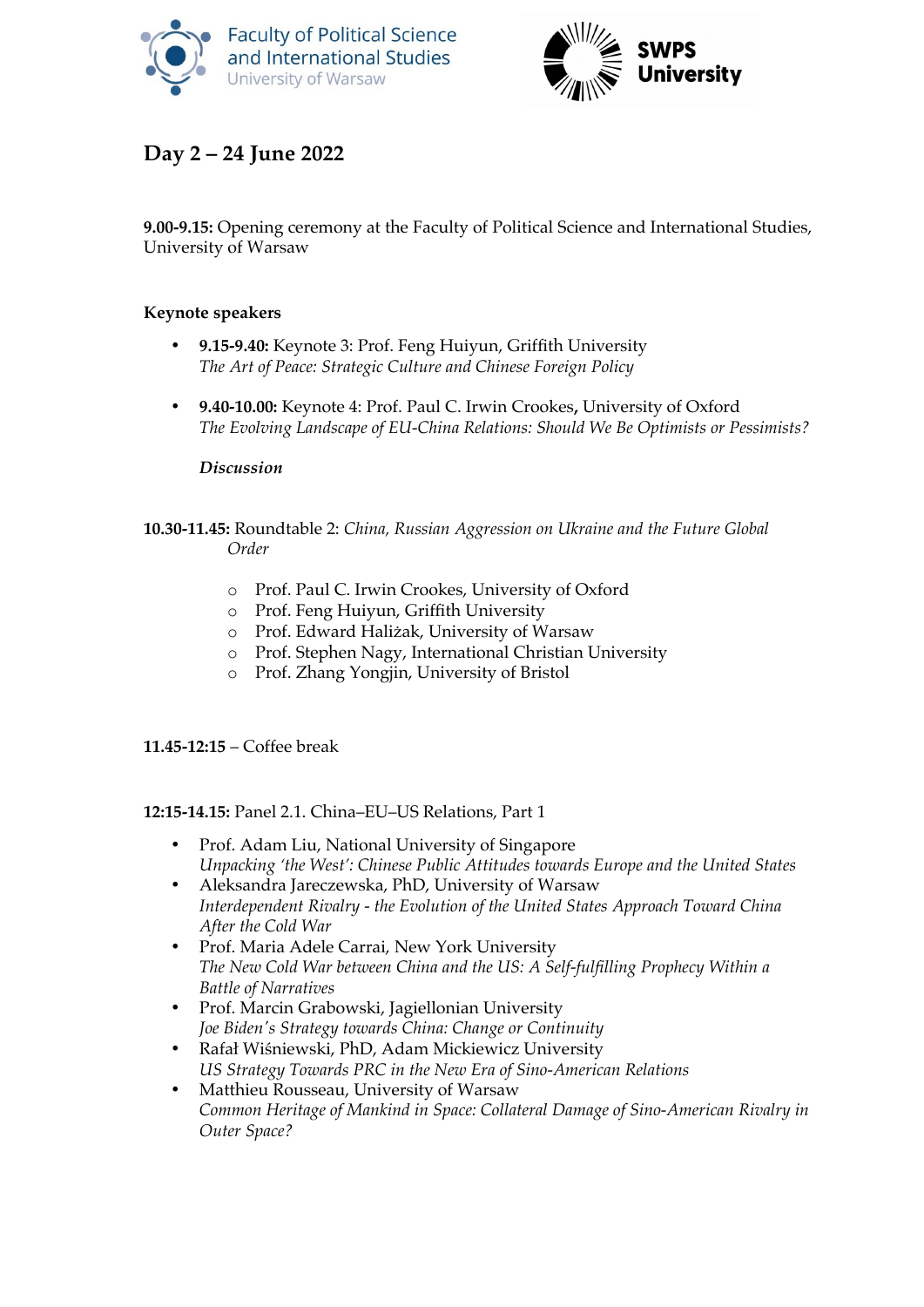



# **Day 2 – 24 June 2022**

**9.00-9.15:** Opening ceremony at the Faculty of Political Science and International Studies, University of Warsaw

#### **Keynote speakers**

- **9.15-9.40:** Keynote 3: Prof. Feng Huiyun, Griffith University *The Art of Peace: Strategic Culture and Chinese Foreign Policy*
- **9.40-10.00:** Keynote 4: Prof. Paul C. Irwin Crookes**,** University of Oxford *The Evolving Landscape of EU-China Relations: Should We Be Optimists or Pessimists?*

#### *Discussion*

#### **10.30-11.45:** Roundtable 2: *China, Russian Aggression on Ukraine and the Future Global Order*

- o Prof. Paul C. Irwin Crookes, University of Oxford
- o Prof. Feng Huiyun, Griffith University
- o Prof. Edward Haliżak, University of Warsaw
- o Prof. Stephen Nagy, International Christian University
- o Prof. Zhang Yongjin, University of Bristol

#### **11.45-12:15** – Coffee break

#### **12:15-14.15:** Panel 2.1. China–EU–US Relations, Part 1

- Prof. Adam Liu, National University of Singapore *Unpacking 'the West': Chinese Public Attitudes towards Europe and the United States*
- Aleksandra Jareczewska, PhD, University of Warsaw *Interdependent Rivalry - the Evolution of the United States Approach Toward China After the Cold War*
- Prof. Maria Adele Carrai, New York University *The New Cold War between China and the US: A Self-fulfilling Prophecy Within a Battle of Narratives*
- Prof. Marcin Grabowski, Jagiellonian University *Joe Biden's Strategy towards China: Change or Continuity*
- Rafał Wiśniewski, PhD, Adam Mickiewicz University *US Strategy Towards PRC in the New Era of Sino-American Relations*
- Matthieu Rousseau, University of Warsaw *Common Heritage of Mankind in Space: Collateral Damage of Sino-American Rivalry in Outer Space?*